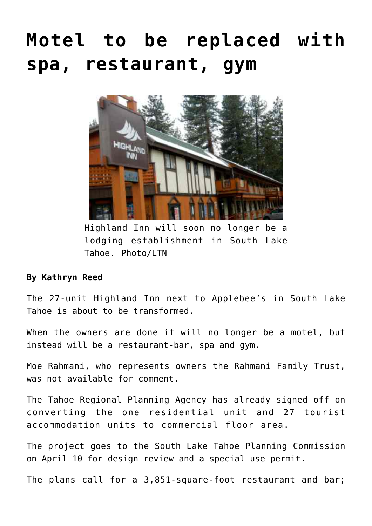## **[Motel to be replaced with](https://www.laketahoenews.net/2014/04/motel-replaced-spa-restaurant-gym/) [spa, restaurant, gym](https://www.laketahoenews.net/2014/04/motel-replaced-spa-restaurant-gym/)**



Highland Inn will soon no longer be a lodging establishment in South Lake Tahoe. Photo/LTN

## **By Kathryn Reed**

The 27-unit Highland Inn next to Applebee's in South Lake Tahoe is about to be transformed.

When the owners are done it will no longer be a motel, but instead will be a restaurant-bar, spa and gym.

Moe Rahmani, who represents owners the Rahmani Family Trust, was not available for comment.

The Tahoe Regional Planning Agency has already signed off on converting the one residential unit and 27 tourist accommodation units to commercial floor area.

The project goes to the South Lake Tahoe Planning Commission on April 10 for design review and a special use permit.

The plans call for a 3,851-square-foot restaurant and bar;